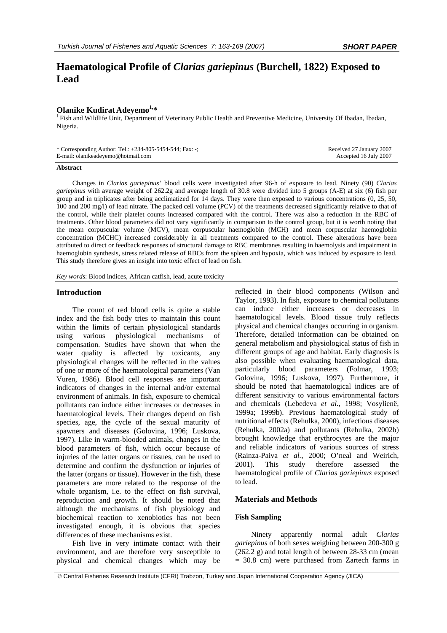# **Haematological Profile of** *Clarias gariepinus* **(Burchell, 1822) Exposed to Lead**

**Olanike Kudirat Adeyemo<sup>1,\*</sup>**<br><sup>1</sup> Fish and Wildlife Unit, Department of Veterinary Public Health and Preventive Medicine, University Of Ibadan, Ibadan, Nigeria.

| * Corresponding Author: Tel.: +234-805-5454-544; Fax: -; | Received 27 January 2007 |
|----------------------------------------------------------|--------------------------|
| E-mail: olanikeadeyemo@hotmail.com                       | Accepted 16 July 2007    |

# **Abstract**

Changes in *Clarias gariepinus'* blood cells were investigated after 96-h of exposure to lead. Ninety (90) *Clarias gariepinus* with average weight of 262.2g and average length of 30.8 were divided into 5 groups (A-E) at six (6) fish per group and in triplicates after being acclimatized for 14 days. They were then exposed to various concentrations (0, 25, 50, 100 and 200 mg/l) of lead nitrate. The packed cell volume (PCV) of the treatments decreased significantly relative to that of the control, while their platelet counts increased compared with the control. There was also a reduction in the RBC of treatments. Other blood parameters did not vary significantly in comparison to the control group, but it is worth noting that the mean corpuscular volume (MCV), mean corpuscular haemoglobin (MCH) and mean corpuscular haemoglobin concentration (MCHC) increased considerably in all treatments compared to the control. These alterations have been attributed to direct or feedback responses of structural damage to RBC membranes resulting in haemolysis and impairment in haemoglobin synthesis, stress related release of RBCs from the spleen and hypoxia, which was induced by exposure to lead. This study therefore gives an insight into toxic effect of lead on fish.

*Key words*: Blood indices, African catfish, lead, acute toxicity

# **Introduction**

The count of red blood cells is quite a stable index and the fish body tries to maintain this count within the limits of certain physiological standards using various physiological mechanisms of compensation. Studies have shown that when the water quality is affected by toxicants, any physiological changes will be reflected in the values of one or more of the haematological parameters (Van Vuren, 1986). Blood cell responses are important indicators of changes in the internal and/or external environment of animals. In fish, exposure to chemical pollutants can induce either increases or decreases in haematological levels. Their changes depend on fish species, age, the cycle of the sexual maturity of spawners and diseases (Golovina, 1996; Luskova, 1997). Like in warm-blooded animals, changes in the blood parameters of fish, which occur because of injuries of the latter organs or tissues, can be used to determine and confirm the dysfunction or injuries of the latter (organs or tissue). However in the fish, these parameters are more related to the response of the whole organism, i.e. to the effect on fish survival, reproduction and growth. It should be noted that although the mechanisms of fish physiology and biochemical reaction to xenobiotics has not been investigated enough, it is obvious that species differences of these mechanisms exist.

Fish live in very intimate contact with their environment, and are therefore very susceptible to physical and chemical changes which may be

reflected in their blood components (Wilson and Taylor, 1993). In fish, exposure to chemical pollutants can induce either increases or decreases in haematological levels. Blood tissue truly reflects physical and chemical changes occurring in organism. Therefore, detailed information can be obtained on general metabolism and physiological status of fish in different groups of age and habitat. Early diagnosis is also possible when evaluating haematological data, particularly blood parameters (Folmar, 1993; Golovina, 1996; Luskova, 1997). Furthermore, it should be noted that haematological indices are of different sensitivity to various environmental factors and chemicals (Lebedeva *et al.*, 1998; Vosylienë, 1999a; 1999b). Previous haematological study of nutritional effects (Rehulka, 2000), infectious diseases (Rehulka, 2002a) and pollutants (Rehulka, 2002b) brought knowledge that erythrocytes are the major and reliable indicators of various sources of stress (Rainza-Paiva *et al.*, 2000; O'neal and Weirich, 2001). This study therefore assessed the haematological profile of *Clarias gariepinus* exposed to lead.

## **Materials and Methods**

# **Fish Sampling**

Ninety apparently normal adult *Clarias gariepinus* of both sexes weighing between 200-300 g (262.2 g) and total length of between 28-33 cm (mean = 30.8 cm) were purchased from Zartech farms in

 <sup>©</sup> Central Fisheries Research Institute (CFRI) Trabzon, Turkey and Japan International Cooperation Agency (JICA)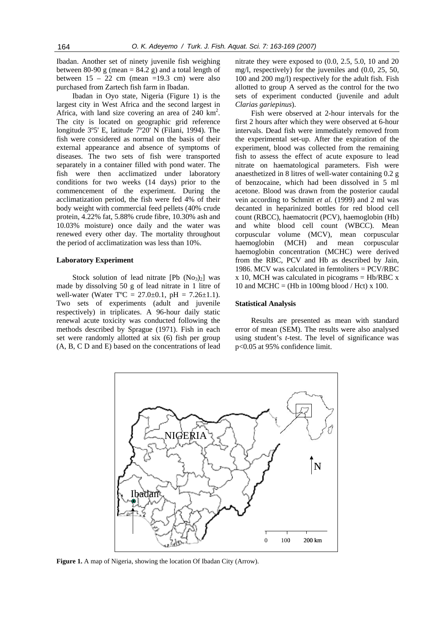Ibadan. Another set of ninety juvenile fish weighing between 80-90 g (mean =  $84.2$  g) and a total length of between  $15 - 22$  cm (mean =19.3 cm) were also purchased from Zartech fish farm in Ibadan.

Ibadan in Oyo state, Nigeria (Figure 1) is the largest city in West Africa and the second largest in Africa, with land size covering an area of  $240 \text{ km}^2$ . The city is located on geographic grid reference longitude 3º5' E, latitude 7º20' N (Filani, 1994). The fish were considered as normal on the basis of their external appearance and absence of symptoms of diseases. The two sets of fish were transported separately in a container filled with pond water. The fish were then acclimatized under laboratory conditions for two weeks (14 days) prior to the commencement of the experiment. During the acclimatization period, the fish were fed 4% of their body weight with commercial feed pellets (40% crude protein, 4.22% fat, 5.88% crude fibre, 10.30% ash and 10.03% moisture) once daily and the water was renewed every other day. The mortality throughout the period of acclimatization was less than 10%.

# **Laboratory Experiment**

Stock solution of lead nitrate  $[Pb (No<sub>3</sub>)<sub>2</sub>]$  was made by dissolving 50 g of lead nitrate in 1 litre of well-water (Water  $T^{\circ}C = 27.0 \pm 0.1$ , pH = 7.26 $\pm 1.1$ ). Two sets of experiments (adult and juvenile respectively) in triplicates. A 96-hour daily static renewal acute toxicity was conducted following the methods described by Sprague (1971). Fish in each set were randomly allotted at six (6) fish per group (A, B, C D and E) based on the concentrations of lead nitrate they were exposed to (0.0, 2.5, 5.0, 10 and 20 mg/l, respectively) for the juveniles and (0.0, 25, 50, 100 and 200 mg/l) respectively for the adult fish. Fish allotted to group A served as the control for the two sets of experiment conducted (juvenile and adult *Clarias gariepinus*).

Fish were observed at 2-hour intervals for the first 2 hours after which they were observed at 6-hour intervals. Dead fish were immediately removed from the experimental set-up. After the expiration of the experiment, blood was collected from the remaining fish to assess the effect of acute exposure to lead nitrate on haematological parameters. Fish were anaesthetized in 8 litres of well-water containing 0.2 g of benzocaine, which had been dissolved in 5 ml acetone. Blood was drawn from the posterior caudal vein according to Schmitt *et al.* (1999) and 2 ml was decanted in heparinized bottles for red blood cell count (RBCC), haematocrit (PCV), haemoglobin (Hb) and white blood cell count (WBCC). Mean corpuscular volume (MCV), mean corpuscular haemoglobin (MCH) and mean corpuscular haemoglobin concentration (MCHC) were derived from the RBC, PCV and Hb as described by Jain, 1986. MCV was calculated in femtoliters = PCV/RBC  $x$  10, MCH was calculated in picograms = Hb/RBC  $x$ 10 and MCHC = (Hb in 100mg blood / Hct) x 100.

# **Statistical Analysis**

Results are presented as mean with standard error of mean (SEM). The results were also analysed using student's *t*-test. The level of significance was p<0.05 at 95% confidence limit.



Figure 1. A map of Nigeria, showing the location Of Ibadan City (Arrow).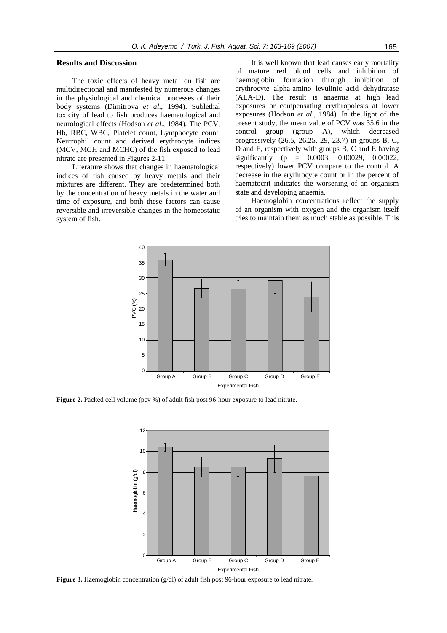# **Results and Discussion**

The toxic effects of heavy metal on fish are multidirectional and manifested by numerous changes in the physiological and chemical processes of their body systems (Dimitrova *et al*., 1994). Sublethal toxicity of lead to fish produces haematological and neurological effects (Hodson *et al*., 1984). The PCV, Hb, RBC, WBC, Platelet count, Lymphocyte count, Neutrophil count and derived erythrocyte indices (MCV, MCH and MCHC) of the fish exposed to lead nitrate are presented in Figures 2-11.

Literature shows that changes in haematological indices of fish caused by heavy metals and their mixtures are different. They are predetermined both by the concentration of heavy metals in the water and time of exposure, and both these factors can cause reversible and irreversible changes in the homeostatic system of fish.

It is well known that lead causes early mortality of mature red blood cells and inhibition of haemoglobin formation through inhibition of erythrocyte alpha-amino levulinic acid dehydratase (ALA-D). The result is anaemia at high lead exposures or compensating erythropoiesis at lower exposures (Hodson *et al*., 1984). In the light of the present study, the mean value of PCV was 35.6 in the control group (group A), which decreased progressively (26.5, 26.25, 29, 23.7) in groups B, C, D and E, respectively with groups B, C and E having significantly (p = 0.0003, 0.00029, 0.00022, respectively) lower PCV compare to the control. A decrease in the erythrocyte count or in the percent of haematocrit indicates the worsening of an organism state and developing anaemia.

Haemoglobin concentrations reflect the supply of an organism with oxygen and the organism itself tries to maintain them as much stable as possible. This



**Figure 2.** Packed cell volume (pcv %) of adult fish post 96-hour exposure to lead nitrate.



**Figure 3.** Haemoglobin concentration (g/dl) of adult fish post 96-hour exposure to lead nitrate.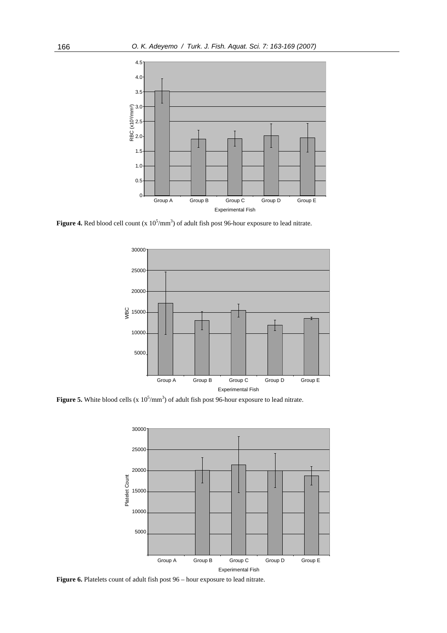

**Figure 4.** Red blood cell count  $(x 10^5/\text{mm}^3)$  of adult fish post 96-hour exposure to lead nitrate.



**Figure 5.** White blood cells (x  $10^5/\text{mm}^3$ ) of adult fish post 96-hour exposure to lead nitrate.



**Figure 6.** Platelets count of adult fish post 96 – hour exposure to lead nitrate.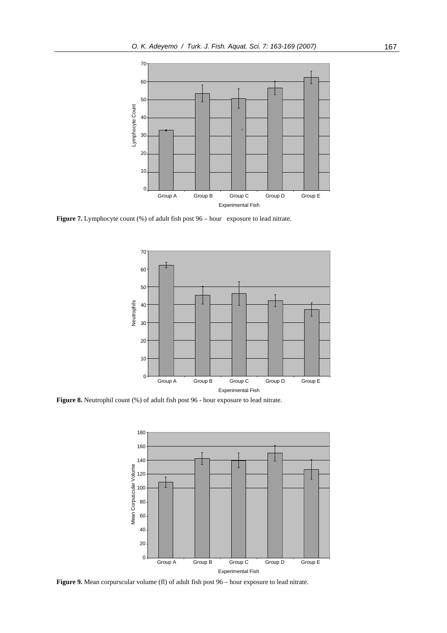

Figure 7. Lymphocyte count (%) of adult fish post  $96 - hour$  exposure to lead nitrate.



**Figure 8.** Neutrophil count (%) of adult fish post 96 - hour exposure to lead nitrate.



Figure 9. Mean corpurscular volume (fl) of adult fish post – hour exposure to lead nitrate.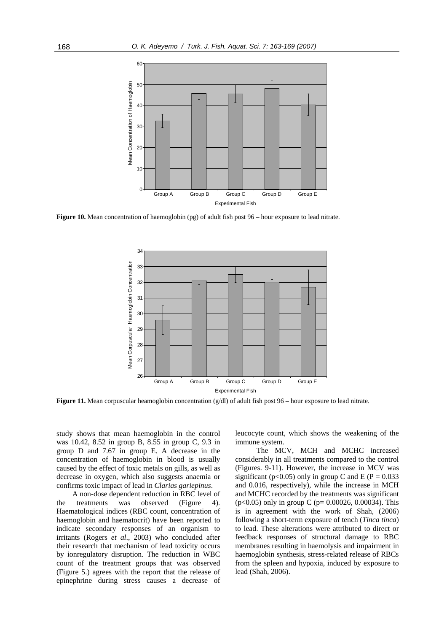

**Figure 10.** Mean concentration of haemoglobin (pg) of adult fish post 96 – hour exposure to lead nitrate.



**Figure 11.** Mean corpuscular heamoglobin concentration (g/dl) of adult fish post 96 – hour exposure to lead nitrate.

study shows that mean haemoglobin in the control was 10.42, 8.52 in group B, 8.55 in group C, 9.3 in group D and 7.67 in group E. A decrease in the concentration of haemoglobin in blood is usually caused by the effect of toxic metals on gills, as well as decrease in oxygen, which also suggests anaemia or confirms toxic impact of lead in *Clarias gariepinus*.

A non-dose dependent reduction in RBC level of the treatments was observed (Figure 4). Haematological indices (RBC count, concentration of haemoglobin and haematocrit) have been reported to indicate secondary responses of an organism to irritants (Rogers *et al*., 2003) who concluded after their research that mechanism of lead toxicity occurs by ionregulatory disruption. The reduction in WBC count of the treatment groups that was observed (Figure 5.) agrees with the report that the release of epinephrine during stress causes a decrease of leucocyte count, which shows the weakening of the immune system.

The MCV, MCH and MCHC increased considerably in all treatments compared to the control (Figures. 9-11). However, the increase in MCV was significant (p<0.05) only in group C and E (P =  $0.033$ ) and 0.016, respectively), while the increase in MCH and MCHC recorded by the treatments was significant (p<0.05) only in group C (p= 0.00026, 0.00034). This is in agreement with the work of Shah, (2006) following a short-term exposure of tench (*Tinca tinca*) to lead. These alterations were attributed to direct or feedback responses of structural damage to RBC membranes resulting in haemolysis and impairment in haemoglobin synthesis, stress-related release of RBCs from the spleen and hypoxia, induced by exposure to lead (Shah, 2006).